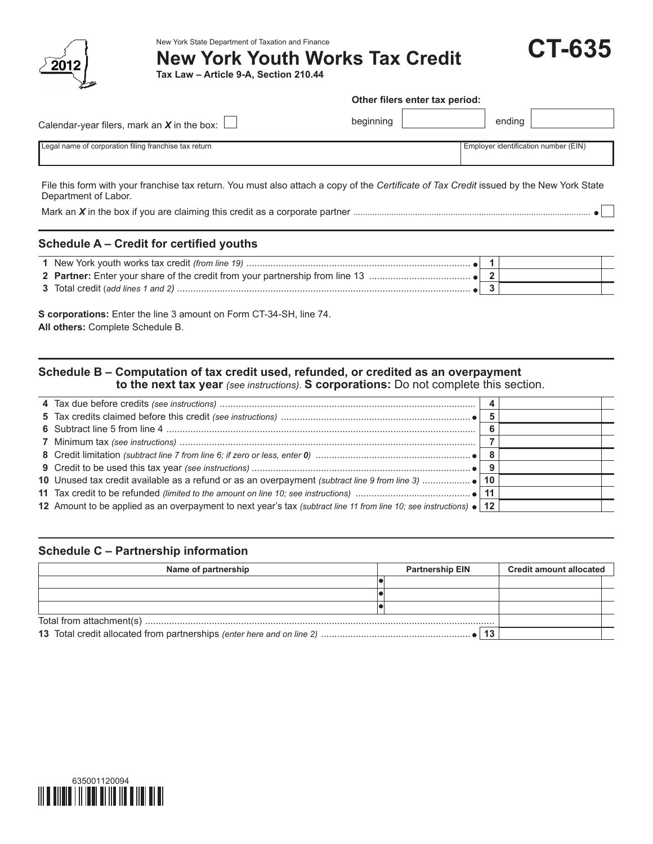

New York State Department of Taxation and Finance

**New York Youth Works Tax Credit**

**Tax Law – Article 9-A, Section 210.44**

#### **Other filers enter tax period:**

**CT-635**

| Calendar-year filers, mark an $X$ in the box: $\Box$  | beginning | ending                               |
|-------------------------------------------------------|-----------|--------------------------------------|
| Legal name of corporation filing franchise tax return |           | Employer identification number (EIN) |

File this form with your franchise tax return. You must also attach a copy of the *Certificate of Tax Credit* issued by the New York State Department of Labor.

Mark an *X* in the box if you are claiming this credit as a corporate partner *....................................................................................................*

## **Schedule A – Credit for certified youths**

**S corporations:** Enter the line 3 amount on Form CT-34-SH, line 74. **All others:** Complete Schedule B.

# **Schedule B – Computation of tax credit used, refunded, or credited as an overpayment to the next tax year** *(see instructions)*. **S corporations:** Do not complete this section.

| 12 Amount to be applied as an overpayment to next year's tax (subtract line 11 from line 10; see instructions) • 12 |  |  |
|---------------------------------------------------------------------------------------------------------------------|--|--|

## **Schedule C – Partnership information**

| Name of partnership | <b>Partnership EIN</b> | <b>Credit amount allocated</b> |  |
|---------------------|------------------------|--------------------------------|--|
|                     |                        |                                |  |
|                     |                        |                                |  |
|                     |                        |                                |  |
|                     |                        |                                |  |
|                     |                        |                                |  |